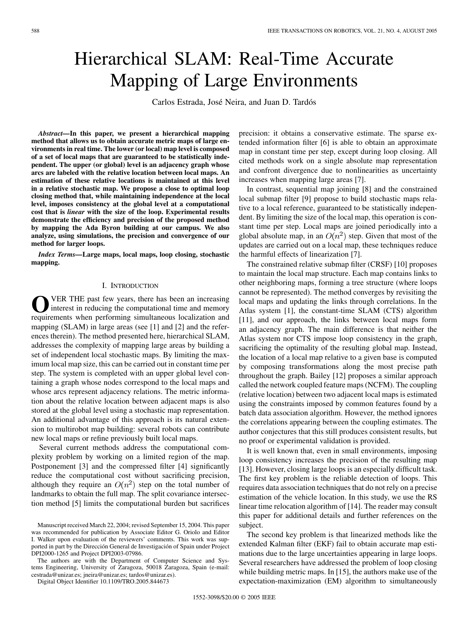# Hierarchical SLAM: Real-Time Accurate Mapping of Large Environments

Carlos Estrada, José Neira, and Juan D. Tardós

*Abstract—***In this paper, we present a hierarchical mapping method that allows us to obtain accurate metric maps of large environments in real time. The lower (or local) map level is composed of a set of local maps that are guaranteed to be statistically independent. The upper (or global) level is an adjacency graph whose arcs are labeled with the relative location between local maps. An estimation of these relative locations is maintained at this level in a relative stochastic map. We propose a close to optimal loop closing method that, while maintaining independence at the local level, imposes consistency at the global level at a computational cost that is** *linear* **with the size of the loop. Experimental results demonstrate the efficiency and precision of the proposed method by mapping the Ada Byron building at our campus. We also analyze, using simulations, the precision and convergence of our method for larger loops.**

*Index Terms—***Large maps, local maps, loop closing, stochastic mapping.**

## I. INTRODUCTION

O VER THE past few years, there has been an increasing<br>interest in reducing the computational time and memory requirements when performing simultaneous localization and mapping (SLAM) in large areas (see [\[1](#page-7-0)] and [\[2](#page-7-0)] and the references therein). The method presented here, hierarchical SLAM, addresses the complexity of mapping large areas by building a set of independent local stochastic maps. By limiting the maximum local map size, this can be carried out in constant time per step. The system is completed with an upper global level containing a graph whose nodes correspond to the local maps and whose arcs represent adjacency relations. The metric information about the relative location between adjacent maps is also stored at the global level using a stochastic map representation. An additional advantage of this approach is its natural extension to multirobot map building: several robots can contribute new local maps or refine previously built local maps.

Several current methods address the computational complexity problem by working on a limited region of the map. Postponement [[3\]](#page-7-0) and the compressed filter [[4\]](#page-7-0) significantly reduce the computational cost without sacrificing precision, although they require an  $O(n^2)$  step on the total number of landmarks to obtain the full map. The split covariance intersection method [[5\]](#page-7-0) limits the computational burden but sacrifices

The authors are with the Department of Computer Science and Systems Engineering, University of Zaragoza, 50018 Zaragoza, Spain (e-mail: cestrada@unizar.es; jneira@unizar.es; tardos@unizar.es).

Digital Object Identifier 10.1109/TRO.2005.844673

precision: it obtains a conservative estimate. The sparse extended information filter [[6\]](#page-7-0) is able to obtain an approximate map in constant time per step, except during loop closing. All cited methods work on a single absolute map representation and confront divergence due to nonlinearities as uncertainty increases when mapping large areas [[7\]](#page-7-0).

In contrast, sequential map joining [\[8](#page-7-0)] and the constrained local submap filter [[9\]](#page-7-0) propose to build stochastic maps relative to a local reference, guaranteed to be statistically independent. By limiting the size of the local map, this operation is constant time per step. Local maps are joined periodically into a global absolute map, in an  $O(n^2)$  step. Given that most of the updates are carried out on a local map, these techniques reduce the harmful effects of linearization [[7\]](#page-7-0).

The constrained relative submap filter (CRSF) [[10](#page-7-0)] proposes to maintain the local map structure. Each map contains links to other neighboring maps, forming a tree structure (where loops cannot be represented). The method converges by revisiting the local maps and updating the links through correlations. In the Atlas system [\[1](#page-7-0)], the constant-time SLAM (CTS) algorithm [[11\]](#page-7-0), and our approach, the links between local maps form an adjacency graph. The main difference is that neither the Atlas system nor CTS impose loop consistency in the graph, sacrificing the optimality of the resulting global map. Instead, the location of a local map relative to a given base is computed by composing transformations along the most precise path throughout the graph. Bailey [[12\]](#page-7-0) proposes a similar approach called the network coupled feature maps (NCFM). The coupling (relative location) between two adjacent local maps is estimated using the constraints imposed by common features found by a batch data association algorithm. However, the method ignores the correlations appearing between the coupling estimates. The author conjectures that this still produces consistent results, but no proof or experimental validation is provided.

It is well known that, even in small environments, imposing loop consistency increases the precision of the resulting map [[13\]](#page-7-0). However, closing large loops is an especially difficult task. The first key problem is the reliable detection of loops. This requires data association techniques that do not rely on a precise estimation of the vehicle location. In this study, we use the RS linear time relocation algorithm of [\[14](#page-7-0)]. The reader may consult this paper for additional details and further references on the subject.

The second key problem is that linearized methods like the extended Kalman filter (EKF) fail to obtain accurate map estimations due to the large uncertainties appearing in large loops. Several researchers have addressed the problem of loop closing while building metric maps. In [[15\]](#page-7-0), the authors make use of the expectation-maximization (EM) algorithm to simultaneously

Manuscript received March 22, 2004; revised September 15, 2004. This paper was recommended for publication by Associate Editor G. Oriolo and Editor I. Walker upon evaluation of the reviewers' comments. This work was supported in part by the Dirección General de Investigación of Spain under Project DPI2000-1265 and Project DPI2003-07986.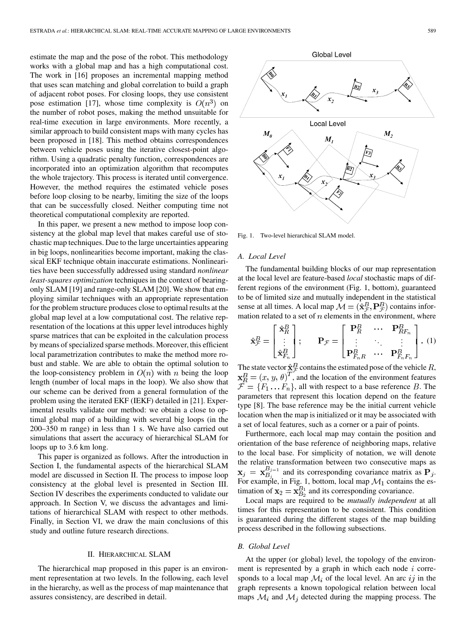estimate the map and the pose of the robot. This methodology works with a global map and has a high computational cost. The work in [[16\]](#page-7-0) proposes an incremental mapping method that uses scan matching and global correlation to build a graph of adjacent robot poses. For closing loops, they use consistent pose estimation [[17\]](#page-7-0), whose time complexity is  $O(n^3)$  on the number of robot poses, making the method unsuitable for real-time execution in large environments. More recently, a similar approach to build consistent maps with many cycles has been proposed in [[18\]](#page-7-0). This method obtains correspondences between vehicle poses using the iterative closest-point algorithm. Using a quadratic penalty function, correspondences are incorporated into an optimization algorithm that recomputes the whole trajectory. This process is iterated until convergence. However, the method requires the estimated vehicle poses before loop closing to be nearby, limiting the size of the loops that can be successfully closed. Neither computing time not theoretical computational complexity are reported.

In this paper, we present a new method to impose loop consistency at the global map level that makes careful use of stochastic map techniques. Due to the large uncertainties appearing in big loops, nonlinearities become important, making the classical EKF technique obtain inaccurate estimations. Nonlinearities have been successfully addressed using standard *nonlinear least-squares optimization* techniques in the context of bearingonly SLAM [[19\]](#page-7-0) and range-only SLAM [[20\]](#page-7-0). We show that employing similar techniques with an appropriate representation for the problem structure produces close to optimal results at the global map level at a low computational cost. The relative representation of the locations at this upper level introduces highly sparse matrices that can be exploited in the calculation process by means of specialized sparse methods. Moreover, this efficient local parametrization contributes to make the method more robust and stable. We are able to obtain the optimal solution to the loop-consistency problem in  $O(n)$  with n being the loop length (number of local maps in the loop). We also show that our scheme can be derived from a general formulation of the problem using the iterated EKF (IEKF) detailed in [\[21](#page-7-0)]. Experimental results validate our method: we obtain a close to optimal global map of a building with several big loops (in the 200–350 m range) in less than 1 s. We have also carried out simulations that assert the accuracy of hierarchical SLAM for loops up to 3.6 km long.

This paper is organized as follows. After the introduction in Section I, the fundamental aspects of the hierarchical SLAM model are discussed in Section II. The process to impose loop consistency at the global level is presented in Section III. Section IV describes the experiments conducted to validate our approach. In Section V, we discuss the advantages and limitations of hierarchical SLAM with respect to other methods. Finally, in Section VI, we draw the main conclusions of this study and outline future research directions.

#### II. HIERARCHICAL SLAM

The hierarchical map proposed in this paper is an environment representation at two levels. In the following, each level in the hierarchy, as well as the process of map maintenance that assures consistency, are described in detail.

Fig. 1. Two-level hierarchical SLAM model.

#### *A. Local Level*

The fundamental building blocks of our map representation at the local level are feature-based *local* stochastic maps of different regions of the environment (Fig. 1, bottom), guaranteed to be of limited size and mutually independent in the statistical sense at all times. A local map  $\mathcal{M} = (\hat{\mathbf{x}}_{\mathcal{F}}^B, \mathbf{P}_{\mathcal{F}}^B)$  contains information related to a set of  $n$  elements in the environment, where

$$
\hat{\mathbf{x}}_{\mathcal{F}}^B = \begin{bmatrix} \hat{\mathbf{x}}_R^B \\ \vdots \\ \hat{\mathbf{x}}_{F_n}^B \end{bmatrix}; \quad \mathbf{P}_{\mathcal{F}} = \begin{bmatrix} \mathbf{P}_R^B & \cdots & \mathbf{P}_{RF_n}^B \\ \vdots & \ddots & \vdots \\ \mathbf{P}_{F_nR}^B & \cdots & \mathbf{P}_{F_nF_n}^B \end{bmatrix} . (1)
$$

The state vector  $\hat{\mathbf{x}}_{\mathcal{F}}^B$  contains the estimated pose of the vehicle  $R$ ,  $\mathbf{x}_R^B = (x, y, \theta)^T$ , and the location of the environment features  $\mathcal{F} = \{F_1 \dots F_n\}$ , all with respect to a base reference B. The parameters that represent this location depend on the feature type [[8\]](#page-7-0). The base reference may be the initial current vehicle location when the map is initialized or it may be associated with a set of local features, such as a corner or a pair of points.

Furthermore, each local map may contain the position and orientation of the base reference of neighboring maps, relative to the local base. For simplicity of notation, we will denote the relative transformation between two consecutive maps as  $\mathbf{x}_j = \mathbf{x}_{B_j}^{B_{j-1}}$  and its corresponding covariance matrix as  $\mathbf{P}_j$ . For example, in Fig. 1, bottom, local map  $\mathcal{M}_1$  contains the estimation of  $x_2 = x_{B_2}^{B_1}$  and its corresponding covariance.

Local maps are required to be *mutually independent* at all times for this representation to be consistent. This condition is guaranteed during the different stages of the map building process described in the following subsections.

#### *B. Global Level*

At the upper (or global) level, the topology of the environment is represented by a graph in which each node  $i$  corresponds to a local map  $\mathcal{M}_i$  of the local level. An arc ij in the graph represents a known topological relation between local maps  $\mathcal{M}_i$  and  $\mathcal{M}_j$  detected during the mapping process. The

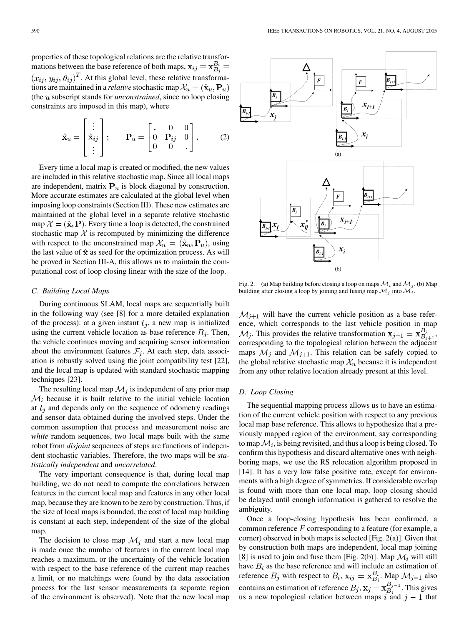properties of these topological relations are the relative transformations between the base reference of both maps, . At this global level, these relative transformations are maintained in a *relative* stochastic map  $\mathcal{X}_u = (\hat{\mathbf{x}}_u, \mathbf{P}_u)$ (the  $u$  subscript stands for *unconstrained*, since no loop closing constraints are imposed in this map), where

$$
\hat{\mathbf{x}}_u = \begin{bmatrix} \vdots \\ \hat{\mathbf{x}}_{ij} \\ \vdots \end{bmatrix}; \qquad \mathbf{P}_u = \begin{bmatrix} . & 0 & 0 \\ 0 & \mathbf{P}_{ij} & 0 \\ 0 & 0 & . \end{bmatrix}. \tag{2}
$$

Every time a local map is created or modified, the new values are included in this relative stochastic map. Since all local maps are independent, matrix  $P_u$  is block diagonal by construction. More accurate estimates are calculated at the global level when imposing loop constraints (Section III). These new estimates are maintained at the global level in a separate relative stochastic map  $\mathcal{X} = (\hat{\mathbf{x}}, \mathbf{P})$ . Every time a loop is detected, the constrained stochastic map  $\mathcal X$  is recomputed by minimizing the difference with respect to the unconstrained map  $\mathcal{X}_u = (\hat{\mathbf{x}}_u, \mathbf{P}_u)$ , using the last value of  $\hat{x}$  as seed for the optimization process. As will be proved in Section III-A, this allows us to maintain the computational cost of loop closing linear with the size of the loop.

## *C. Building Local Maps*

 $\mathbf{r}$ 

During continuous SLAM, local maps are sequentially built in the following way (see [[8\]](#page-7-0) for a more detailed explanation of the process): at a given instant  $t_i$ , a new map is initialized using the current vehicle location as base reference  $B_i$ . Then, the vehicle continues moving and acquiring sensor information about the environment features  $\mathcal{F}_i$ . At each step, data association is robustly solved using the joint compatibility test [[22\]](#page-8-0), and the local map is updated with standard stochastic mapping techniques [[23](#page-8-0)].

The resulting local map  $\mathcal{M}_j$  is independent of any prior map  $\mathcal{M}_i$  because it is built relative to the initial vehicle location at  $t_i$  and depends only on the sequence of odometry readings and sensor data obtained during the involved steps. Under the common assumption that process and measurement noise are *white* random sequences, two local maps built with the same robot from *disjoint* sequences of steps are functions of independent stochastic variables. Therefore, the two maps will be *statistically independent* and *uncorrelated*.

The very important consequence is that, during local map building, we do not need to compute the correlations between features in the current local map and features in any other local map, because they are known to be zero by construction. Thus, if the size of local maps is bounded, the cost of local map building is constant at each step, independent of the size of the global map.

The decision to close map  $\mathcal{M}_i$  and start a new local map is made once the number of features in the current local map reaches a maximum, or the uncertainty of the vehicle location with respect to the base reference of the current map reaches a limit, or no matchings were found by the data association process for the last sensor measurements (a separate region of the environment is observed). Note that the new local map



Fig. 2. (a) Map building before closing a loop on maps  $\mathcal{M}_i$  and  $\mathcal{M}_j$ . (b) Map building after closing a loop by joining and fusing map  $\mathcal{M}_j$  into  $\mathcal{M}_i$ .

 $\mathcal{M}_{i+1}$  will have the current vehicle position as a base reference, which corresponds to the last vehicle position in map  $\mathcal{M}_j$ . This provides the relative transformation  $\mathbf{x}_{j+1} = \mathbf{x}_{B_{i+1}}^{B_j}$ , corresponding to the topological relation between the adjacent maps  $\mathcal{M}_i$  and  $\mathcal{M}_{i+1}$ . This relation can be safely copied to the global relative stochastic map  $\mathcal{X}_u$  because it is independent from any other relative location already present at this level.

## *D. Loop Closing*

The sequential mapping process allows us to have an estimation of the current vehicle position with respect to any previous local map base reference. This allows to hypothesize that a previously mapped region of the environment, say corresponding to map  $\mathcal{M}_i$ , is being revisited, and thus a loop is being closed. To confirm this hypothesis and discard alternative ones with neighboring maps, we use the RS relocation algorithm proposed in [[14\]](#page-7-0). It has a very low false positive rate, except for environments with a high degree of symmetries. If considerable overlap is found with more than one local map, loop closing should be delayed until enough information is gathered to resolve the ambiguity.

Once a loop-closing hypothesis has been confirmed, a common reference  $F$  corresponding to a feature (for example, a corner) observed in both maps is selected [Fig. 2(a)]. Given that by construction both maps are independent, local map joining [[8\]](#page-7-0) is used to join and fuse them [Fig. 2(b)]. Map  $\mathcal{M}_i$  will still have  $B_i$  as the base reference and will include an estimation of reference  $B_j$  with respect to  $B_i$ ,  $\mathbf{x}_{ij} = \mathbf{x}_{B_j}^{B_i}$ . Map  $\mathcal{M}_{j-1}$  also contains an estimation of reference  $B_j$ ,  $\mathbf{x}_j = \mathbf{x}_{B_j}^{B_j-1}$ . This gives us a new topological relation between maps i and  $j-1$  that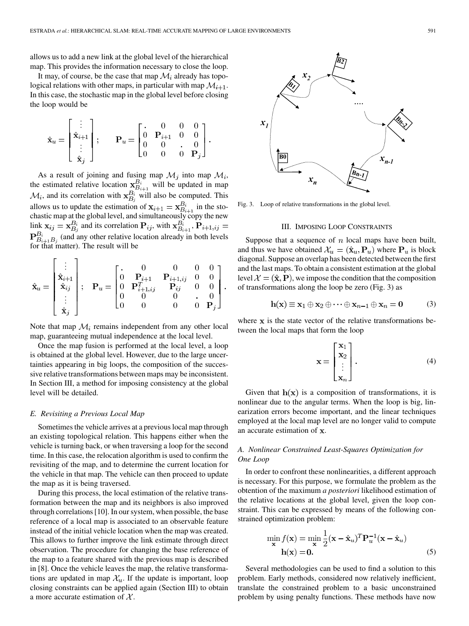allows us to add a new link at the global level of the hierarchical map. This provides the information necessary to close the loop.

It may, of course, be the case that map  $\mathcal{M}_i$  already has topological relations with other maps, in particular with map  $\mathcal{M}_{i+1}$ . In this case, the stochastic map in the global level before closing the loop would be

$$
\hat{\mathbf{x}}_u = \begin{bmatrix} \vdots \\ \hat{\mathbf{x}}_{i+1} \\ \vdots \\ \hat{\mathbf{x}}_i \end{bmatrix}; \quad \mathbf{P}_u = \begin{bmatrix} . & 0 & 0 & 0 \\ 0 & \mathbf{P}_{i+1} & 0 & 0 \\ 0 & 0 & . & 0 \\ 0 & 0 & 0 & \mathbf{P}_j \end{bmatrix}.
$$

As a result of joining and fusing map  $\mathcal{M}_j$  into map  $\mathcal{M}_i$ , the estimated relative location  $x_{B_{i+1}}^{B_i}$  will be updated in map , and its correlation with  $x_{B_i}^{B_i}$  will also be computed. This allows us to update the estimation of  $x_{i+1} = x_{B_{i+1}}^{B_i}$  in the stochastic map at the global level, and simultaneously copy the new link  $x_{ij} = x_B^{B_i}$  and its correlation  $P_{ij}$ , with  $x_B^{B_i}$ , (and any other relative location already in both levels for that matter). The result will be

$$
\hat{\mathbf{x}}_u = \begin{bmatrix} \vdots \\ \hat{\mathbf{x}}_{i+1} \\ \hat{\mathbf{x}}_{ij} \\ \vdots \\ \hat{\mathbf{x}}_j \end{bmatrix}; \quad \mathbf{P}_u = \begin{bmatrix} . & 0 & 0 & 0 & 0 \\ 0 & \mathbf{P}_{i+1} & \mathbf{P}_{i+1, ij} & 0 & 0 \\ 0 & \mathbf{P}_{i+1, ij}^T & \mathbf{P}_{ij} & 0 & 0 \\ 0 & 0 & 0 & 0 & \mathbf{P}_{j} \end{bmatrix}.
$$

Note that map  $\mathcal{M}_i$  remains independent from any other local map, guaranteeing mutual independence at the local level.

Once the map fusion is performed at the local level, a loop is obtained at the global level. However, due to the large uncertainties appearing in big loops, the composition of the successive relative transformations between maps may be inconsistent. In Section III, a method for imposing consistency at the global level will be detailed.

## *E. Revisiting a Previous Local Map*

Sometimes the vehicle arrives at a previous local map through an existing topological relation. This happens either when the vehicle is turning back, or when traversing a loop for the second time. In this case, the relocation algorithm is used to confirm the revisiting of the map, and to determine the current location for the vehicle in that map. The vehicle can then proceed to update the map as it is being traversed.

During this process, the local estimation of the relative transformation between the map and its neighbors is also improved through correlations [[10\]](#page-7-0). In our system, when possible, the base reference of a local map is associated to an observable feature instead of the initial vehicle location when the map was created. This allows to further improve the link estimate through direct observation. The procedure for changing the base reference of the map to a feature shared with the previous map is described in [\[8](#page-7-0)]. Once the vehicle leaves the map, the relative transformations are updated in map  $\mathcal{X}_u$ . If the update is important, loop closing constraints can be applied again (Section III) to obtain a more accurate estimation of  $X$ .



Fig. 3. Loop of relative transformations in the global level.

### III. IMPOSING LOOP CONSTRAINTS

Suppose that a sequence of  $n$  local maps have been built, and thus we have obtained  $\mathcal{X}_u = (\hat{\mathbf{x}}_u, \mathbf{P}_u)$  where  $\mathbf{P}_u$  is block diagonal. Suppose an overlap has been detected between the first and the last maps. To obtain a consistent estimation at the global level  $\mathcal{X} = (\hat{\mathbf{x}}, \mathbf{P})$ , we impose the condition that the composition of transformations along the loop be zero (Fig. 3) as

$$
\mathbf{h}(\mathbf{x}) \equiv \mathbf{x}_1 \oplus \mathbf{x}_2 \oplus \cdots \oplus \mathbf{x}_{n-1} \oplus \mathbf{x}_n = \mathbf{0} \tag{3}
$$

where  $x$  is the state vector of the relative transformations between the local maps that form the loop

$$
\mathbf{x} = \begin{bmatrix} \mathbf{x}_1 \\ \mathbf{x}_2 \\ \vdots \\ \mathbf{x}_n \end{bmatrix} . \tag{4}
$$

Given that  $h(x)$  is a composition of transformations, it is nonlinear due to the angular terms. When the loop is big, linearization errors become important, and the linear techniques employed at the local map level are no longer valid to compute an accurate estimation of x.

# *A. Nonlinear Constrained Least-Squares Optimization for One Loop*

In order to confront these nonlinearities, a different approach is necessary. For this purpose, we formulate the problem as the obtention of the maximum *a posteriori* likelihood estimation of the relative locations at the global level, given the loop constraint. This can be expressed by means of the following constrained optimization problem:

$$
\min_{\mathbf{x}} f(\mathbf{x}) = \min_{\mathbf{x}} \frac{1}{2} (\mathbf{x} - \hat{\mathbf{x}}_u)^T \mathbf{P}_u^{-1} (\mathbf{x} - \hat{\mathbf{x}}_u)
$$
  
h(\mathbf{x}) = 0. (5)

Several methodologies can be used to find a solution to this problem. Early methods, considered now relatively inefficient, translate the constrained problem to a basic unconstrained problem by using penalty functions. These methods have now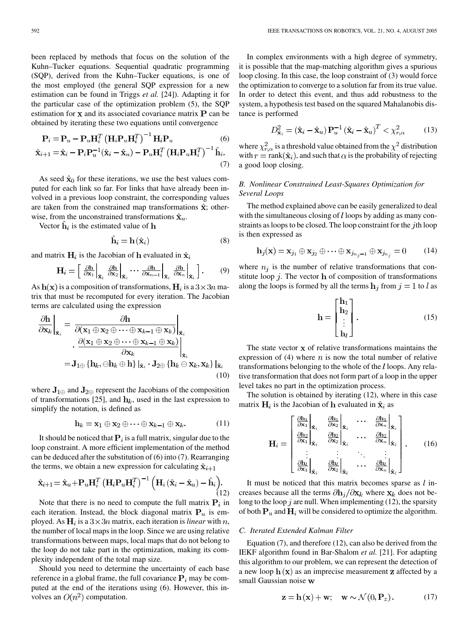been replaced by methods that focus on the solution of the Kuhn–Tucker equations. Sequential quadratic programming (SQP), derived from the Kuhn–Tucker equations, is one of the most employed (the general SQP expression for a new estimation can be found in Triggs *et al.* [[24\]](#page-8-0)). Adapting it for the particular case of the optimization problem (5), the SQP estimation for  $x$  and its associated covariance matrix  $P$  can be obtained by iterating these two equations until convergence

$$
\mathbf{P}_{i} = \mathbf{P}_{u} - \mathbf{P}_{u} \mathbf{H}_{i}^{T} \left( \mathbf{H}_{i} \mathbf{P}_{u} \mathbf{H}_{i}^{T} \right)^{-1} \mathbf{H}_{i} \mathbf{P}_{u}
$$
\n
$$
\hat{\mathbf{x}}_{i+1} = \hat{\mathbf{x}}_{i} - \mathbf{P}_{i} \mathbf{P}_{u}^{-1} (\hat{\mathbf{x}}_{i} - \hat{\mathbf{x}}_{u}) - \mathbf{P}_{u} \mathbf{H}_{i}^{T} \left( \mathbf{H}_{i} \mathbf{P}_{u} \mathbf{H}_{i}^{T} \right)^{-1} \hat{\mathbf{h}}_{i}.
$$
\n(7)

As seed  $\hat{\mathbf{x}}_0$  for these iterations, we use the best values computed for each link so far. For links that have already been involved in a previous loop constraint, the corresponding values are taken from the constrained map transformations  $\hat{\mathbf{x}}$ ; otherwise, from the unconstrained transformations  $\hat{\mathbf{x}}_u$ .

Vector  $\mathbf{h}_i$  is the estimated value of  $\mathbf{h}$ 

$$
\hat{\mathbf{h}}_i = \mathbf{h}\left(\hat{\mathbf{x}}_i\right) \tag{8}
$$

and matrix  $H_i$  is the Jacobian of h evaluated in  $\hat{x}_i$ 

$$
\mathbf{H}_{i} = \begin{bmatrix} \frac{\partial \mathbf{h}}{\partial \mathbf{x}_{1}} \Big|_{\hat{\mathbf{x}}_{i}} & \frac{\partial \mathbf{h}}{\partial \mathbf{x}_{2}} \Big|_{\hat{\mathbf{x}}_{i}} & \cdots & \frac{\partial \mathbf{h}}{\partial \mathbf{x}_{n-1}} \Big|_{\hat{\mathbf{x}}_{i}} & \frac{\partial \mathbf{h}}{\partial \mathbf{x}_{n}} \Big|_{\hat{\mathbf{x}}_{i}} \end{bmatrix} . \tag{9}
$$

As  $h(x)$  is a composition of transformations,  $H_i$  is a  $3 \times 3n$  matrix that must be recomputed for every iteration. The Jacobian terms are calculated using the expression

$$
\frac{\partial \mathbf{h}}{\partial \mathbf{x}_{k}}\Big|_{\hat{\mathbf{x}}_{i}} = \frac{\partial \mathbf{h}}{\partial(\mathbf{x}_{1} \oplus \mathbf{x}_{2} \oplus \cdots \oplus \mathbf{x}_{k-1} \oplus \mathbf{x}_{k})}\Big|_{\hat{\mathbf{x}}_{i}} \cdot \frac{\partial(\mathbf{x}_{1} \oplus \mathbf{x}_{2} \oplus \cdots \oplus \mathbf{x}_{k-1} \oplus \mathbf{x}_{k})}{\partial \mathbf{x}_{k}}\Big|_{\hat{\mathbf{x}}_{i}} \n= \mathbf{J}_{1\oplus} \{\mathbf{h}_{k}, \ominus \mathbf{h}_{k} \oplus \mathbf{h}\} \Big|_{\hat{\mathbf{x}}_{i}} \cdot \mathbf{J}_{2\oplus} \{\mathbf{h}_{k} \ominus \mathbf{x}_{k}, \mathbf{x}_{k}\} \Big|_{\hat{\mathbf{x}}_{i}} \tag{10}
$$

where  $J_{1\oplus}$  and  $J_{2\oplus}$  represent the Jacobians of the composition of transformations [[25\]](#page-8-0), and  $\mathbf{h}_k$ , used in the last expression to simplify the notation, is defined as

$$
\mathbf{h}_k = \mathbf{x}_1 \oplus \mathbf{x}_2 \oplus \cdots \oplus \mathbf{x}_{k-1} \oplus \mathbf{x}_k. \tag{11}
$$

It should be noticed that  $P_i$  is a full matrix, singular due to the loop constraint. A more efficient implementation of the method can be deduced after the substitution of (6) into (7). Rearranging the terms, we obtain a new expression for calculating  $\hat{\mathbf{x}}_{i+1}$ 

$$
\hat{\mathbf{x}}_{i+1} = \hat{\mathbf{x}}_u + \mathbf{P}_u \mathbf{H}_i^T \left( \mathbf{H}_i \mathbf{P}_u \mathbf{H}_i^T \right)^{-1} \left( \mathbf{H}_i \left( \hat{\mathbf{x}}_i - \hat{\mathbf{x}}_u \right) - \hat{\mathbf{h}}_i \right).
$$
\n(12)

Note that there is no need to compute the full matrix  $P_i$  in each iteration. Instead, the block diagonal matrix  $P_u$  is employed. As  $H_i$  is a  $3 \times 3n$  matrix, each iteration is *linear* with n, the number of local maps in the loop. Since we are using relative transformations between maps, local maps that do not belong to the loop do not take part in the optimization, making its complexity independent of the total map size.

Should you need to determine the uncertainty of each base reference in a global frame, the full covariance  $P_i$  may be computed at the end of the iterations using (6). However, this involves an  $O(n^2)$  computation.

In complex environments with a high degree of symmetry, it is possible that the map-matching algorithm gives a spurious loop closing. In this case, the loop constraint of (3) would force the optimization to converge to a solution far from its true value. In order to detect this event, and thus add robustness to the system, a hypothesis test based on the squared Mahalanobis distance is performed

$$
D_{\hat{\mathbf{x}}_i}^2 = (\hat{\mathbf{x}}_i - \hat{\mathbf{x}}_u) \mathbf{P}_u^{-1} (\hat{\mathbf{x}}_i - \hat{\mathbf{x}}_u)^T < \chi^2_{r,\alpha}
$$
 (13)

where  $\chi^2_{r,\alpha}$  is a threshold value obtained from the  $\chi^2$  distribution with  $r = \text{rank}(\hat{\mathbf{x}}_i)$ , and such that  $\alpha$  is the probability of rejecting a good loop closing.

# *B. Nonlinear Constrained Least-Squares Optimization for Several Loops*

The method explained above can be easily generalized to deal with the simultaneous closing of  $l$  loops by adding as many constraints as loops to be closed. The loop constraint for the  $j$ th loop is then expressed as

$$
\mathbf{h}_{j}(\mathbf{x}) = \mathbf{x}_{j_1} \oplus \mathbf{x}_{j_2} \oplus \cdots \oplus \mathbf{x}_{j_{n_j}-1} \oplus \mathbf{x}_{j_{n_j}} = 0 \qquad (14)
$$

where  $n_i$  is the number of relative transformations that constitute loop j. The vector  $h$  of composition of transformations along the loops is formed by all the terms  $\mathbf{h}_j$  from  $j = 1$  to l as

$$
\mathbf{h} = \begin{bmatrix} \mathbf{h}_1 \\ \mathbf{h}_2 \\ \vdots \\ \mathbf{h}_l \end{bmatrix} . \tag{15}
$$

The state vector  $x$  of relative transformations maintains the expression of  $(4)$  where n is now the total number of relative transformations belonging to the whole of the  $l$  loops. Any relative transformation that does not form part of a loop in the upper level takes no part in the optimization process.

The solution is obtained by iterating (12), where in this case matrix  $H_i$  is the Jacobian of h evaluated in  $\hat{x}_i$  as

$$
\mathbf{H}_{i} = \begin{bmatrix} \frac{\partial \mathbf{h}_{1}}{\partial \mathbf{x}_{1}} \Big|_{\hat{\mathbf{x}}_{i}} & \frac{\partial \mathbf{h}_{1}}{\partial \mathbf{x}_{2}} \Big|_{\hat{\mathbf{x}}_{i}} & \cdots & \frac{\partial \mathbf{h}_{1}}{\partial \mathbf{x}_{n}} \Big|_{\hat{\mathbf{x}}_{i}} \\ \frac{\partial \mathbf{h}_{2}}{\partial \mathbf{x}_{1}} \Big|_{\hat{\mathbf{x}}_{i}} & \frac{\partial \mathbf{h}_{2}}{\partial \mathbf{x}_{2}} \Big|_{\hat{\mathbf{x}}_{i}} & \cdots & \frac{\partial \mathbf{h}_{2}}{\partial \mathbf{x}_{n}} \Big|_{\hat{\mathbf{x}}_{i}} \\ \vdots & \vdots & \ddots & \vdots \\ \frac{\partial \mathbf{h}_{l}}{\partial \mathbf{x}_{1}} \Big|_{\hat{\mathbf{x}}_{i}} & \frac{\partial \mathbf{h}_{l}}{\partial \mathbf{x}_{2}} \Big|_{\hat{\mathbf{x}}_{i}} & \cdots & \frac{\partial \mathbf{h}_{l}}{\partial \mathbf{x}_{n}} \Big|_{\hat{\mathbf{x}}_{i}} \end{bmatrix} . \qquad (16)
$$

It must be noticed that this matrix becomes sparse as  $l$  increases because all the terms  $\partial \mathbf{h}_i / \partial \mathbf{x}_k$  where  $\mathbf{x}_k$  does not belong to the loop j are null. When implementing  $(12)$ , the sparsity of both  $P_u$  and  $H_i$  will be considered to optimize the algorithm.

## *C. Iterated Extended Kalman Filter*

Equation (7), and therefore (12), can also be derived from the IEKF algorithm found in Bar-Shalom *et al.* [\[21\]](#page-7-0). For adapting this algorithm to our problem, we can represent the detection of a new loop  $h(x)$  as an imprecise measurement z affected by a small Gaussian noise w

$$
\mathbf{z} = \mathbf{h}(\mathbf{x}) + \mathbf{w}; \quad \mathbf{w} \sim \mathcal{N}(0, \mathbf{P}_z). \tag{17}
$$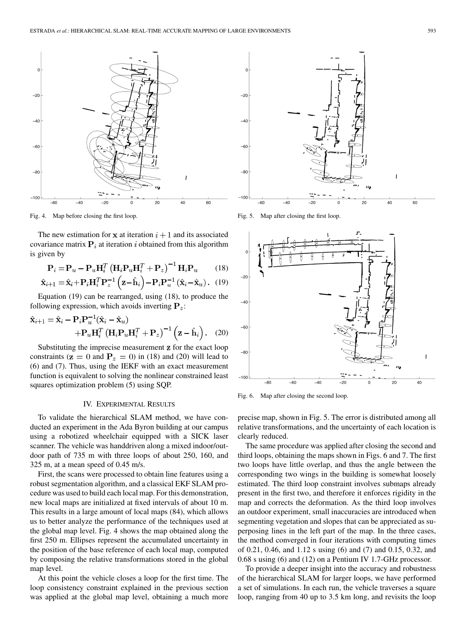

Fig. 4. Map before closing the first loop.

The new estimation for **x** at iteration  $i + 1$  and its associated covariance matrix  $P_i$  at iteration i obtained from this algorithm is given by

$$
\mathbf{P}_{i} = \mathbf{P}_{u} - \mathbf{P}_{u} \mathbf{H}_{i}^{T} \left( \mathbf{H}_{i} \mathbf{P}_{u} \mathbf{H}_{i}^{T} + \mathbf{P}_{z} \right)^{-1} \mathbf{H}_{i} \mathbf{P}_{u} \qquad (18)
$$

$$
\hat{\mathbf{x}}_{i+1} = \hat{\mathbf{x}}_i + \mathbf{P}_i \mathbf{H}_i^T \mathbf{P}_z^{-1} \left( \mathbf{z} - \hat{\mathbf{h}}_i \right) - \mathbf{P}_i \mathbf{P}_u^{-1} \left( \hat{\mathbf{x}}_i - \hat{\mathbf{x}}_u \right). \tag{19}
$$

Equation (19) can be rearranged, using (18), to produce the following expression, which avoids inverting  $P_z$ :

$$
\hat{\mathbf{x}}_{i+1} = \hat{\mathbf{x}}_i - \mathbf{P}_i \mathbf{P}_u^{-1} (\hat{\mathbf{x}}_i - \hat{\mathbf{x}}_u) \n+ \mathbf{P}_u \mathbf{H}_i^T \left( \mathbf{H}_i \mathbf{P}_u \mathbf{H}_i^T + \mathbf{P}_z \right)^{-1} \left( \mathbf{z} - \hat{\mathbf{h}}_i \right). \tag{20}
$$

Substituting the imprecise measurement z for the exact loop constraints ( $z = 0$  and  $P_z = 0$ ) in (18) and (20) will lead to (6) and (7). Thus, using the IEKF with an exact measurement function is equivalent to solving the nonlinear constrained least squares optimization problem (5) using SQP.

#### IV. EXPERIMENTAL RESULTS

To validate the hierarchical SLAM method, we have conducted an experiment in the Ada Byron building at our campus using a robotized wheelchair equipped with a SICK laser scanner. The vehicle was handdriven along a mixed indoor/outdoor path of 735 m with three loops of about 250, 160, and 325 m, at a mean speed of 0.45 m/s.

First, the scans were processed to obtain line features using a robust segmentation algorithm, and a classical EKF SLAM procedure was used to build each local map. For this demonstration, new local maps are initialized at fixed intervals of about 10 m. This results in a large amount of local maps (84), which allows us to better analyze the performance of the techniques used at the global map level. Fig. 4 shows the map obtained along the first 250 m. Ellipses represent the accumulated uncertainty in the position of the base reference of each local map, computed by composing the relative transformations stored in the global map level.

At this point the vehicle closes a loop for the first time. The loop consistency constraint explained in the previous section was applied at the global map level, obtaining a much more



Fig. 5. Map after closing the first loop.



Fig. 6. Map after closing the second loop.

precise map, shown in Fig. 5. The error is distributed among all relative transformations, and the uncertainty of each location is clearly reduced.

The same procedure was applied after closing the second and third loops, obtaining the maps shown in Figs. 6 and 7. The first two loops have little overlap, and thus the angle between the corresponding two wings in the building is somewhat loosely estimated. The third loop constraint involves submaps already present in the first two, and therefore it enforces rigidity in the map and corrects the deformation. As the third loop involves an outdoor experiment, small inaccuracies are introduced when segmenting vegetation and slopes that can be appreciated as superposing lines in the left part of the map. In the three cases, the method converged in four iterations with computing times of 0.21, 0.46, and 1.12 s using (6) and (7) and 0.15, 0.32, and 0.68 s using (6) and (12) on a Pentium IV 1.7-GHz processor.

To provide a deeper insight into the accuracy and robustness of the hierarchical SLAM for larger loops, we have performed a set of simulations. In each run, the vehicle traverses a square loop, ranging from 40 up to 3.5 km long, and revisits the loop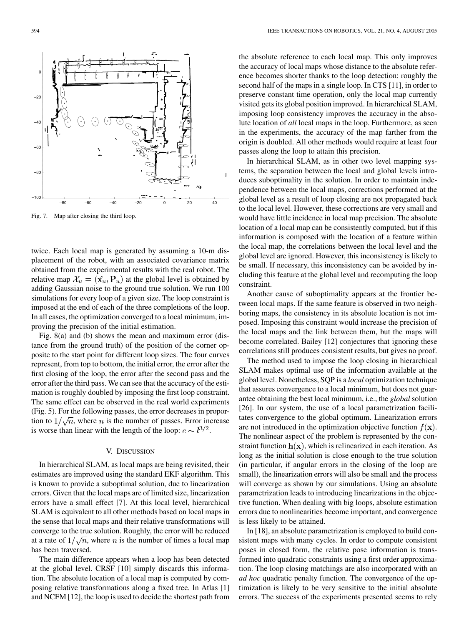

Fig. 7. Map after closing the third loop.

twice. Each local map is generated by assuming a 10-m displacement of the robot, with an associated covariance matrix obtained from the experimental results with the real robot. The relative map  $\mathcal{X}_u = (\hat{\mathbf{x}_u}, \mathbf{P}_u)$  at the global level is obtained by adding Gaussian noise to the ground true solution. We run 100 simulations for every loop of a given size. The loop constraint is imposed at the end of each of the three completions of the loop. In all cases, the optimization converged to a local minimum, improving the precision of the initial estimation.

Fig. 8(a) and (b) shows the mean and maximum error (distance from the ground truth) of the position of the corner opposite to the start point for different loop sizes. The four curves represent, from top to bottom, the initial error, the error after the first closing of the loop, the error after the second pass and the error after the third pass. We can see that the accuracy of the estimation is roughly doubled by imposing the first loop constraint. The same effect can be observed in the real world experiments (Fig. 5). For the following passes, the error decreases in proportion to  $1/\sqrt{n}$ , where *n* is the number of passes. Error increase is worse than linear with the length of the loop:  $e \sim l^{3/2}$ .

#### V. DISCUSSION

In hierarchical SLAM, as local maps are being revisited, their estimates are improved using the standard EKF algorithm. This is known to provide a suboptimal solution, due to linearization errors. Given that the local maps are of limited size, linearization errors have a small effect [\[7](#page-7-0)]. At this local level, hierarchical SLAM is equivalent to all other methods based on local maps in the sense that local maps and their relative transformations will converge to the true solution. Roughly, the error will be reduced at a rate of  $1/\sqrt{n}$ , where *n* is the number of times a local map has been traversed.

The main difference appears when a loop has been detected at the global level. CRSF [[10\]](#page-7-0) simply discards this information. The absolute location of a local map is computed by composing relative transformations along a fixed tree. In Atlas [\[1](#page-7-0)] and NCFM [\[12](#page-7-0)], the loop is used to decide the shortest path from

the absolute reference to each local map. This only improves the accuracy of local maps whose distance to the absolute reference becomes shorter thanks to the loop detection: roughly the second half of the maps in a single loop. In CTS [\[11](#page-7-0)], in order to preserve constant time operation, only the local map currently visited gets its global position improved. In hierarchical SLAM, imposing loop consistency improves the accuracy in the absolute location of *all* local maps in the loop. Furthermore, as seen in the experiments, the accuracy of the map farther from the origin is doubled. All other methods would require at least four passes along the loop to attain this precision.

In hierarchical SLAM, as in other two level mapping systems, the separation between the local and global levels introduces suboptimality in the solution. In order to maintain independence between the local maps, corrections performed at the global level as a result of loop closing are not propagated back to the local level. However, these corrections are very small and would have little incidence in local map precision. The absolute location of a local map can be consistently computed, but if this information is composed with the location of a feature within the local map, the correlations between the local level and the global level are ignored. However, this inconsistency is likely to be small. If necessary, this inconsistency can be avoided by including this feature at the global level and recomputing the loop constraint.

Another cause of suboptimality appears at the frontier between local maps. If the same feature is observed in two neighboring maps, the consistency in its absolute location is not imposed. Imposing this constraint would increase the precision of the local maps and the link between them, but the maps will become correlated. Bailey [\[12\]](#page-7-0) conjectures that ignoring these correlations still produces consistent results, but gives no proof.

The method used to impose the loop closing in hierarchical SLAM makes optimal use of the information available at the global level. Nonetheless, SQP is a *local* optimization technique that assures convergence to a local minimum, but does not guarantee obtaining the best local minimum, i.e., the *global* solution [[26\]](#page-8-0). In our system, the use of a local parametrization facilitates convergence to the global optimum. Linearization errors are not introduced in the optimization objective function  $f(\mathbf{x})$ . The nonlinear aspect of the problem is represented by the constraint function  $h(x)$ , which is relinearized in each iteration. As long as the initial solution is close enough to the true solution (in particular, if angular errors in the closing of the loop are small), the linearization errors will also be small and the process will converge as shown by our simulations. Using an absolute parametrization leads to introducing linearizations in the objective function. When dealing with big loops, absolute estimation errors due to nonlinearities become important, and convergence is less likely to be attained.

In [\[18](#page-7-0)], an absolute parametrization is employed to build consistent maps with many cycles. In order to compute consistent poses in closed form, the relative pose information is transformed into quadratic constraints using a first order approximation. The loop closing matchings are also incorporated with an *ad hoc* quadratic penalty function. The convergence of the optimization is likely to be very sensitive to the initial absolute errors. The success of the experiments presented seems to rely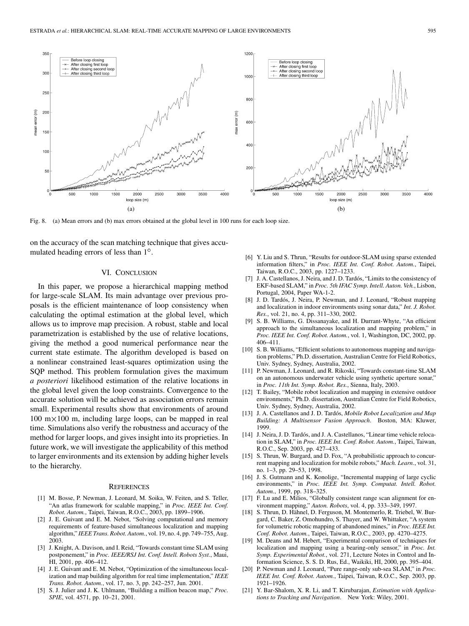<span id="page-7-0"></span>

Fig. 8. (a) Mean errors and (b) max errors obtained at the global level in 100 runs for each loop size.

on the accuracy of the scan matching technique that gives accumulated heading errors of less than  $1^\circ$ .

#### VI. CONCLUSION

In this paper, we propose a hierarchical mapping method for large-scale SLAM. Its main advantage over previous proposals is the efficient maintenance of loop consistency when calculating the optimal estimation at the global level, which allows us to improve map precision. A robust, stable and local parametrization is established by the use of relative locations, giving the method a good numerical performance near the current state estimate. The algorithm developed is based on a nonlinear constrained least-squares optimization using the SQP method. This problem formulation gives the maximum *a posteriori* likelihood estimation of the relative locations in the global level given the loop constraints. Convergence to the accurate solution will be achieved as association errors remain small. Experimental results show that environments of around  $100 \text{ m} \times 100 \text{ m}$ , including large loops, can be mapped in real time. Simulations also verify the robustness and accuracy of the method for larger loops, and gives insight into its proprieties. In future work, we will investigate the applicability of this method to larger environments and its extension by adding higher levels to the hierarchy.

#### **REFERENCES**

- [1] M. Bosse, P. Newman, J. Leonard, M. Soika, W. Feiten, and S. Teller, "An atlas framework for scalable mapping," in *Proc. IEEE Int. Conf. Robot. Autom.*, Taipei, Taiwan, R.O.C., 2003, pp. 1899–1906.
- [2] J. E. Guivant and E. M. Nebot, "Solving computational and memory requirements of feature-based simultaneous localization and mapping algorithm," *IEEE Trans. Robot. Autom.*, vol. 19, no. 4, pp. 749–755, Aug. 2003.
- [3] J. Knight, A. Davison, and I. Reid, "Towards constant time SLAM using postponement," in *Proc. IEEE/RSJ Int. Conf. Intell. Robots Syst.*, Maui, HI, 2001, pp. 406–412.
- [4] J. E. Guivant and E. M. Nebot, "Optimization of the simultaneous localization and map building algorithm for real time implementation," *IEEE Trans. Robot. Autom.*, vol. 17, no. 3, pp. 242–257, Jun. 2001.
- [5] S. J. Julier and J. K. Uhlmann, "Building a million beacon map," *Proc. SPIE*, vol. 4571, pp. 10–21, 2001.
- [6] Y. Liu and S. Thrun, "Results for outdoor-SLAM using sparse extended information filters," in *Proc. IEEE Int. Conf. Robot. Autom.*, Taipei, Taiwan, R.O.C., 2003, pp. 1227–1233.
- [7] J. A. Castellanos, J. Neira, and J. D. Tardós, "Limits to the consistency of EKF-based SLAM," in *Proc. 5th IFAC Symp. Intell. Auton. Veh.*, Lisbon, Portugal, 2004, Paper WA-1-2.
- [8] J. D. Tardós, J. Neira, P. Newman, and J. Leonard, "Robust mapping and localization in indoor environments using sonar data," *Int. J. Robot. Res.*, vol. 21, no. 4, pp. 311–330, 2002.
- [9] S. B. Williams, G. Dissanayake, and H. Durrant-Whyte, "An efficient approach to the simultaneous localization and mapping problem," in *Proc. IEEE Int. Conf. Robot. Autom.*, vol. 1, Washington, DC, 2002, pp. 406–411.
- [10] S. B. Williams, "Efficient solutions to autonomous mapping and navigation problems," Ph.D. dissertation, Australian Centre for Field Robotics, Univ. Sydney, Sydney, Australia, 2002.
- [11] P. Newman, J. Leonard, and R. Rikoski, "Towards constant-time SLAM on an autonomous underwater vehicle using synthetic aperture sonar," in *Proc. 11th Int. Symp. Robot. Res.*, Sienna, Italy, 2003.
- [12] T. Bailey, "Mobile robot localization and mapping in extensive outdoor environments," Ph.D. dissertation, Australian Centre for Field Robotics, Univ. Sydney, Sydney, Australia, 2002.
- [13] J. A. Castellanos and J. D. Tardós, *Mobile Robot Localization and Map Building: A Multisensor Fusion Approach*. Boston, MA: Kluwer, 1999.
- [14] J. Neira, J. D. Tardós, and J. A. Castellanos, "Linear time vehicle relocation in SLAM," in *Proc. IEEE Int. Conf. Robot. Autom.*, Taipei, Taiwan, R.O.C., Sep. 2003, pp. 427–433.
- [15] S. Thrun, W. Burgard, and D. Fox, "A probabilistic approach to concurrent mapping and localization for mobile robots," *Mach. Learn.*, vol. 31, no. 1–3, pp. 29–53, 1998.
- [16] J. S. Gutmann and K. Konolige, "Incremental mapping of large cyclic environments," in *Proc. IEEE Int. Symp. Computat. Intell. Robot. Autom.*, 1999, pp. 318–325.
- [17] F. Lu and E. Milios, "Globally consistent range scan alignment for environment mapping," *Auton. Robots*, vol. 4, pp. 333–349, 1997.
- [18] S. Thrun, D. Hähnel, D. Ferguson, M. Montemerlo, R. Triebel, W. Burgard, C. Baker, Z. Omohundro, S. Thayer, and W. Whittaker, "A system for volumetric robotic mapping of abandoned mines," in *Proc. IEEE Int. Conf. Robot. Autom.*, Taipei, Taiwan, R.O.C., 2003, pp. 4270–4275.
- [19] M. Deans and M. Hebert, "Experimental comparison of techniques for localization and mapping using a bearing-only sensor," in *Proc. Int. Symp. Experimental Robot.*, vol. 271, Lecture Notes in Control and Information Science, S. S. D. Rus, Ed., Waikiki, HI, 2000, pp. 395–404.
- [20] P. Newman and J. Leonard, "Pure range-only sub-sea SLAM," in *Proc. IEEE Int. Conf. Robot. Autom.*, Taipei, Taiwan, R.O.C., Sep. 2003, pp. 1921–1926.
- [21] Y. Bar-Shalom, X. R. Li, and T. Kirubarajan, *Estimation with Applications to Tracking and Navigation*. New York: Wiley, 2001.